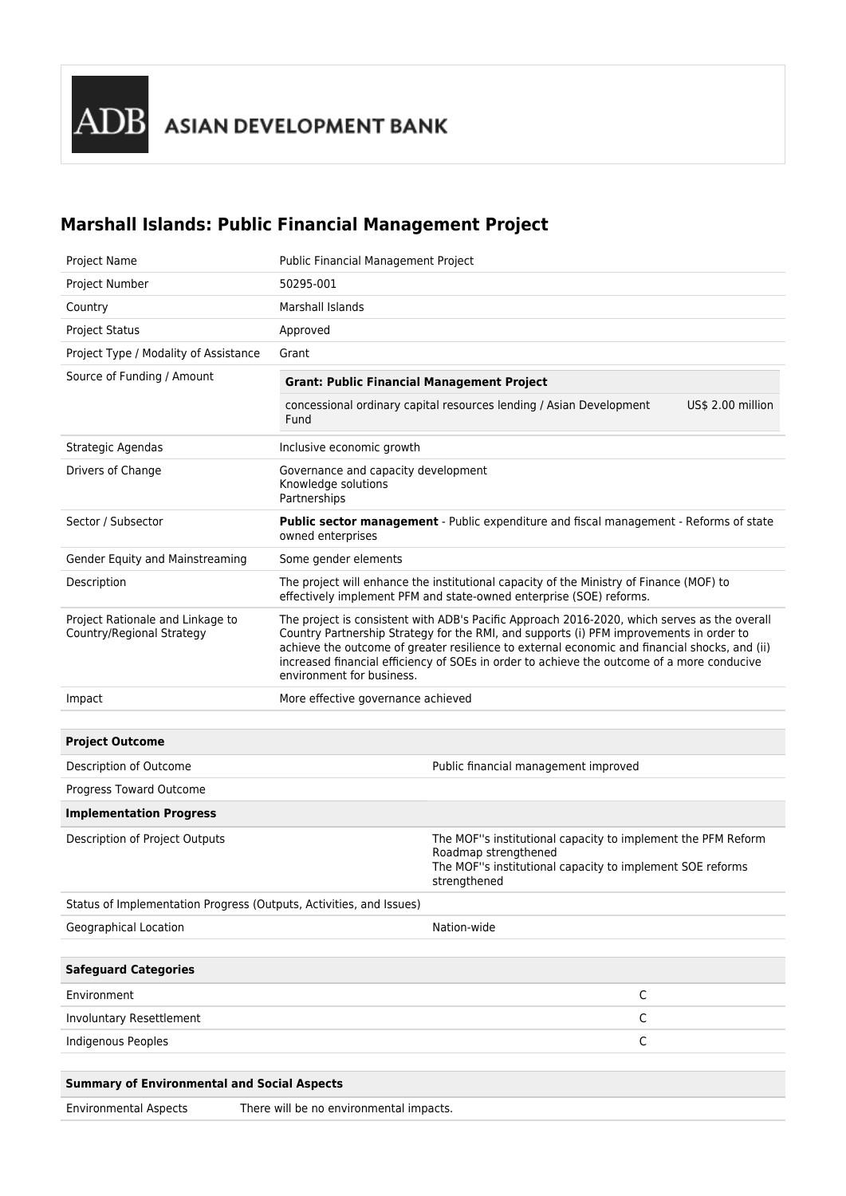## **Marshall Islands: Public Financial Management Project**

| Project Name                                                        | Public Financial Management Project                                                                                                                                                                                                                                                                                                                                                                                 |                                                                                                                                                                   |                   |
|---------------------------------------------------------------------|---------------------------------------------------------------------------------------------------------------------------------------------------------------------------------------------------------------------------------------------------------------------------------------------------------------------------------------------------------------------------------------------------------------------|-------------------------------------------------------------------------------------------------------------------------------------------------------------------|-------------------|
| Project Number                                                      | 50295-001                                                                                                                                                                                                                                                                                                                                                                                                           |                                                                                                                                                                   |                   |
| Country                                                             | Marshall Islands                                                                                                                                                                                                                                                                                                                                                                                                    |                                                                                                                                                                   |                   |
| <b>Project Status</b>                                               | Approved                                                                                                                                                                                                                                                                                                                                                                                                            |                                                                                                                                                                   |                   |
| Project Type / Modality of Assistance                               | Grant                                                                                                                                                                                                                                                                                                                                                                                                               |                                                                                                                                                                   |                   |
| Source of Funding / Amount                                          | <b>Grant: Public Financial Management Project</b>                                                                                                                                                                                                                                                                                                                                                                   |                                                                                                                                                                   |                   |
|                                                                     | Fund                                                                                                                                                                                                                                                                                                                                                                                                                | concessional ordinary capital resources lending / Asian Development                                                                                               | US\$ 2.00 million |
| Strategic Agendas                                                   | Inclusive economic growth                                                                                                                                                                                                                                                                                                                                                                                           |                                                                                                                                                                   |                   |
| Drivers of Change                                                   | Governance and capacity development<br>Knowledge solutions<br>Partnerships                                                                                                                                                                                                                                                                                                                                          |                                                                                                                                                                   |                   |
| Sector / Subsector                                                  | Public sector management - Public expenditure and fiscal management - Reforms of state<br>owned enterprises                                                                                                                                                                                                                                                                                                         |                                                                                                                                                                   |                   |
| Gender Equity and Mainstreaming                                     | Some gender elements                                                                                                                                                                                                                                                                                                                                                                                                |                                                                                                                                                                   |                   |
| Description                                                         | The project will enhance the institutional capacity of the Ministry of Finance (MOF) to<br>effectively implement PFM and state-owned enterprise (SOE) reforms.                                                                                                                                                                                                                                                      |                                                                                                                                                                   |                   |
| Project Rationale and Linkage to<br>Country/Regional Strategy       | The project is consistent with ADB's Pacific Approach 2016-2020, which serves as the overall<br>Country Partnership Strategy for the RMI, and supports (i) PFM improvements in order to<br>achieve the outcome of greater resilience to external economic and financial shocks, and (ii)<br>increased financial efficiency of SOEs in order to achieve the outcome of a more conducive<br>environment for business. |                                                                                                                                                                   |                   |
| Impact                                                              | More effective governance achieved                                                                                                                                                                                                                                                                                                                                                                                  |                                                                                                                                                                   |                   |
|                                                                     |                                                                                                                                                                                                                                                                                                                                                                                                                     |                                                                                                                                                                   |                   |
| <b>Project Outcome</b>                                              |                                                                                                                                                                                                                                                                                                                                                                                                                     |                                                                                                                                                                   |                   |
| Description of Outcome                                              |                                                                                                                                                                                                                                                                                                                                                                                                                     | Public financial management improved                                                                                                                              |                   |
| Progress Toward Outcome                                             |                                                                                                                                                                                                                                                                                                                                                                                                                     |                                                                                                                                                                   |                   |
| <b>Implementation Progress</b>                                      |                                                                                                                                                                                                                                                                                                                                                                                                                     |                                                                                                                                                                   |                   |
| Description of Project Outputs                                      |                                                                                                                                                                                                                                                                                                                                                                                                                     | The MOF"s institutional capacity to implement the PFM Reform<br>Roadmap strengthened<br>The MOF"s institutional capacity to implement SOE reforms<br>strengthened |                   |
| Status of Implementation Progress (Outputs, Activities, and Issues) |                                                                                                                                                                                                                                                                                                                                                                                                                     |                                                                                                                                                                   |                   |
| Geographical Location                                               |                                                                                                                                                                                                                                                                                                                                                                                                                     | Nation-wide                                                                                                                                                       |                   |
|                                                                     |                                                                                                                                                                                                                                                                                                                                                                                                                     |                                                                                                                                                                   |                   |
| <b>Safeguard Categories</b>                                         |                                                                                                                                                                                                                                                                                                                                                                                                                     |                                                                                                                                                                   |                   |
| Environment                                                         |                                                                                                                                                                                                                                                                                                                                                                                                                     | C                                                                                                                                                                 |                   |
| Involuntary Resettlement                                            |                                                                                                                                                                                                                                                                                                                                                                                                                     | C                                                                                                                                                                 |                   |
| <b>Indigenous Peoples</b>                                           |                                                                                                                                                                                                                                                                                                                                                                                                                     | С                                                                                                                                                                 |                   |
|                                                                     |                                                                                                                                                                                                                                                                                                                                                                                                                     |                                                                                                                                                                   |                   |
| <b>Summary of Environmental and Social Aspects</b>                  |                                                                                                                                                                                                                                                                                                                                                                                                                     |                                                                                                                                                                   |                   |

Environmental Aspects There will be no environmental impacts.